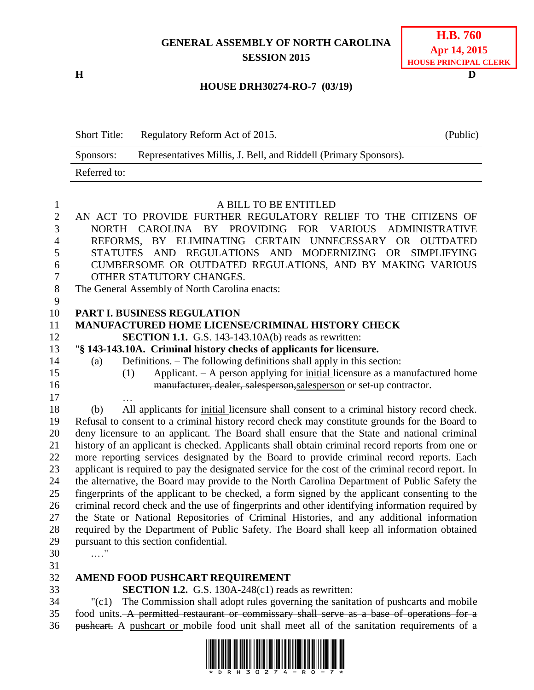## **GENERAL ASSEMBLY OF NORTH CAROLINA SESSION 2015**

**H D**

#### **HOUSE DRH30274-RO-7 (03/19)**

| <b>Short Title:</b> | Regulatory Reform Act of 2015.                                   | (Public) |
|---------------------|------------------------------------------------------------------|----------|
| Sponsors:           | Representatives Millis, J. Bell, and Riddell (Primary Sponsors). |          |
| Referred to:        |                                                                  |          |

#### A BILL TO BE ENTITLED

 AN ACT TO PROVIDE FURTHER REGULATORY RELIEF TO THE CITIZENS OF NORTH CAROLINA BY PROVIDING FOR VARIOUS ADMINISTRATIVE REFORMS, BY ELIMINATING CERTAIN UNNECESSARY OR OUTDATED STATUTES AND REGULATIONS AND MODERNIZING OR SIMPLIFYING CUMBERSOME OR OUTDATED REGULATIONS, AND BY MAKING VARIOUS OTHER STATUTORY CHANGES. The General Assembly of North Carolina enacts: **PART I. BUSINESS REGULATION MANUFACTURED HOME LICENSE/CRIMINAL HISTORY CHECK SECTION 1.1.** G.S. 143-143.10A(b) reads as rewritten: "**§ 143-143.10A. Criminal history checks of applicants for licensure.** (a) Definitions. – The following definitions shall apply in this section: (1) Applicant. – A person applying for initial licensure as a manufactured home manufacturer, dealer, salesperson,salesperson or set-up contractor. … (b) All applicants for initial licensure shall consent to a criminal history record check. Refusal to consent to a criminal history record check may constitute grounds for the Board to deny licensure to an applicant. The Board shall ensure that the State and national criminal history of an applicant is checked. Applicants shall obtain criminal record reports from one or more reporting services designated by the Board to provide criminal record reports. Each applicant is required to pay the designated service for the cost of the criminal record report. In the alternative, the Board may provide to the North Carolina Department of Public Safety the fingerprints of the applicant to be checked, a form signed by the applicant consenting to the criminal record check and the use of fingerprints and other identifying information required by the State or National Repositories of Criminal Histories, and any additional information required by the Department of Public Safety. The Board shall keep all information obtained pursuant to this section confidential. .…" **AMEND FOOD PUSHCART REQUIREMENT**

**SECTION 1.2.** G.S. 130A-248(c1) reads as rewritten:

 "(c1) The Commission shall adopt rules governing the sanitation of pushcarts and mobile 35 food units. A permitted restaurant or commissary shall serve as a base of operations for a pushcart. A pushcart or mobile food unit shall meet all of the sanitation requirements of a

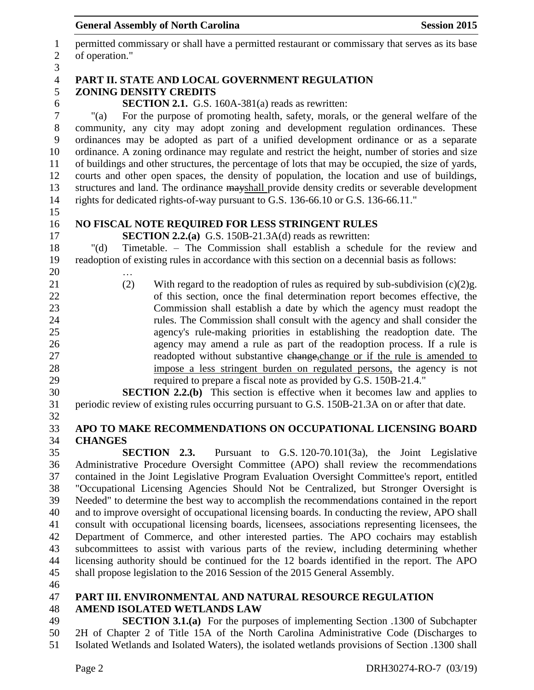# **General Assembly of North Carolina Session 2015**

| $\mathbf{1}$   | permitted commissary or shall have a permitted restaurant or commissary that serves as its base    |  |  |
|----------------|----------------------------------------------------------------------------------------------------|--|--|
| $\mathfrak{2}$ | of operation."                                                                                     |  |  |
| $\mathfrak{Z}$ |                                                                                                    |  |  |
| $\overline{4}$ | PART II. STATE AND LOCAL GOVERNMENT REGULATION                                                     |  |  |
| 5              | <b>ZONING DENSITY CREDITS</b>                                                                      |  |  |
| 6              | <b>SECTION 2.1.</b> G.S. 160A-381(a) reads as rewritten:                                           |  |  |
| $\tau$         | For the purpose of promoting health, safety, morals, or the general welfare of the<br>$"$ (a)      |  |  |
| 8              | community, any city may adopt zoning and development regulation ordinances. These                  |  |  |
| 9              | ordinances may be adopted as part of a unified development ordinance or as a separate              |  |  |
| 10             | ordinance. A zoning ordinance may regulate and restrict the height, number of stories and size     |  |  |
| 11             | of buildings and other structures, the percentage of lots that may be occupied, the size of yards, |  |  |
| 12             | courts and other open spaces, the density of population, the location and use of buildings,        |  |  |
| 13             | structures and land. The ordinance mayshall provide density credits or severable development       |  |  |
| 14             | rights for dedicated rights-of-way pursuant to G.S. 136-66.10 or G.S. 136-66.11."                  |  |  |
| 15             |                                                                                                    |  |  |
| 16             | NO FISCAL NOTE REQUIRED FOR LESS STRINGENT RULES                                                   |  |  |
| 17             | <b>SECTION 2.2.(a)</b> G.S. 150B-21.3A(d) reads as rewritten:                                      |  |  |
| 18             | Timetable. – The Commission shall establish a schedule for the review and<br>" $(d)$               |  |  |
| 19             | readoption of existing rules in accordance with this section on a decennial basis as follows:      |  |  |
| 20             |                                                                                                    |  |  |
| 21             | (2)<br>With regard to the readoption of rules as required by sub-subdivision $(c)(2)g$ .           |  |  |
| 22             | of this section, once the final determination report becomes effective, the                        |  |  |
| 23             | Commission shall establish a date by which the agency must readopt the                             |  |  |
| 24             | rules. The Commission shall consult with the agency and shall consider the                         |  |  |
| 25             | agency's rule-making priorities in establishing the readoption date. The                           |  |  |
| 26             | agency may amend a rule as part of the readoption process. If a rule is                            |  |  |
| 27             | readopted without substantive change, change or if the rule is amended to                          |  |  |
| 28             | impose a less stringent burden on regulated persons, the agency is not                             |  |  |
| 29             | required to prepare a fiscal note as provided by G.S. 150B-21.4."                                  |  |  |
| 30             | <b>SECTION 2.2.(b)</b> This section is effective when it becomes law and applies to                |  |  |
| 31             | periodic review of existing rules occurring pursuant to G.S. 150B-21.3A on or after that date.     |  |  |
| 32             |                                                                                                    |  |  |
| 33             | APO TO MAKE RECOMMENDATIONS ON OCCUPATIONAL LICENSING BOARD                                        |  |  |
| 34             | <b>CHANGES</b>                                                                                     |  |  |
| 35             | <b>SECTION 2.3.</b><br>Pursuant to G.S. 120-70.101(3a), the Joint Legislative                      |  |  |
| 36             | Administrative Procedure Oversight Committee (APO) shall review the recommendations                |  |  |
| 37             | contained in the Joint Legislative Program Evaluation Oversight Committee's report, entitled       |  |  |
| 38             | "Occupational Licensing Agencies Should Not be Centralized, but Stronger Oversight is              |  |  |
| 39             | Needed" to determine the best way to accomplish the recommendations contained in the report        |  |  |
| 40             | and to improve oversight of occupational licensing boards. In conducting the review, APO shall     |  |  |
| 41             | consult with occupational licensing boards, licensees, associations representing licensees, the    |  |  |
| 42             | Department of Commerce, and other interested parties. The APO cochairs may establish               |  |  |
| 43             | subcommittees to assist with various parts of the review, including determining whether            |  |  |
| 44             | licensing authority should be continued for the 12 boards identified in the report. The APO        |  |  |
| 45             | shall propose legislation to the 2016 Session of the 2015 General Assembly.                        |  |  |
| 46             |                                                                                                    |  |  |
| 47             | PART III. ENVIRONMENTAL AND NATURAL RESOURCE REGULATION                                            |  |  |
| 48             | <b>AMEND ISOLATED WETLANDS LAW</b>                                                                 |  |  |
| 49             | <b>SECTION 3.1.(a)</b> For the purposes of implementing Section .1300 of Subchapter                |  |  |
| 50             | 2H of Chapter 2 of Title 15A of the North Carolina Administrative Code (Discharges to              |  |  |
|                |                                                                                                    |  |  |

Isolated Wetlands and Isolated Waters), the isolated wetlands provisions of Section .1300 shall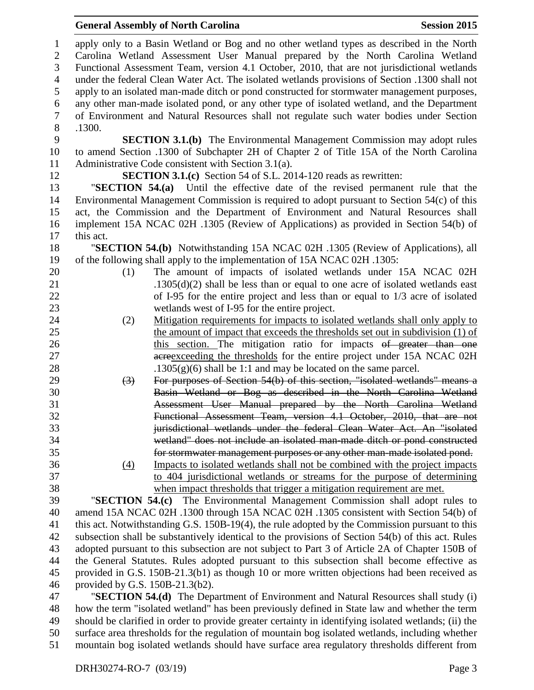#### **General Assembly of North Carolina Session 2015**

 apply only to a Basin Wetland or Bog and no other wetland types as described in the North Carolina Wetland Assessment User Manual prepared by the North Carolina Wetland Functional Assessment Team, version 4.1 October, 2010, that are not jurisdictional wetlands under the federal Clean Water Act. The isolated wetlands provisions of Section .1300 shall not apply to an isolated man-made ditch or pond constructed for stormwater management purposes, any other man-made isolated pond, or any other type of isolated wetland, and the Department of Environment and Natural Resources shall not regulate such water bodies under Section .1300. **SECTION 3.1.(b)** The Environmental Management Commission may adopt rules to amend Section .1300 of Subchapter 2H of Chapter 2 of Title 15A of the North Carolina Administrative Code consistent with Section 3.1(a). **SECTION 3.1.(c)** Section 54 of S.L. 2014-120 reads as rewritten: "**SECTION 54.(a)** Until the effective date of the revised permanent rule that the Environmental Management Commission is required to adopt pursuant to Section 54(c) of this act, the Commission and the Department of Environment and Natural Resources shall implement 15A NCAC 02H .1305 (Review of Applications) as provided in Section 54(b) of this act. "**SECTION 54.(b)** Notwithstanding 15A NCAC 02H .1305 (Review of Applications), all of the following shall apply to the implementation of 15A NCAC 02H .1305: (1) The amount of impacts of isolated wetlands under 15A NCAC 02H .1305(d)(2) shall be less than or equal to one acre of isolated wetlands east 22 of I-95 for the entire project and less than or equal to 1/3 acre of isolated wetlands west of I-95 for the entire project. (2) Mitigation requirements for impacts to isolated wetlands shall only apply to the amount of impact that exceeds the thresholds set out in subdivision (1) of 26 this section. The mitigation ratio for impacts of greater than one **acreexceeding the thresholds for the entire project under 15A NCAC 02H** 28 .1305(g)(6) shall be 1:1 and may be located on the same parcel. (3) For purposes of Section 54(b) of this section, "isolated wetlands" means a Basin Wetland or Bog as described in the North Carolina Wetland Assessment User Manual prepared by the North Carolina Wetland Functional Assessment Team, version 4.1 October, 2010, that are not **jurisdictional wetlands under the federal Clean Water Act. An "isolated**  wetland" does not include an isolated man-made ditch or pond constructed for stormwater management purposes or any other man-made isolated pond. (4) Impacts to isolated wetlands shall not be combined with the project impacts to 404 jurisdictional wetlands or streams for the purpose of determining when impact thresholds that trigger a mitigation requirement are met. "**SECTION 54.(c)** The Environmental Management Commission shall adopt rules to amend 15A NCAC 02H .1300 through 15A NCAC 02H .1305 consistent with Section 54(b) of this act. Notwithstanding G.S. 150B-19(4), the rule adopted by the Commission pursuant to this subsection shall be substantively identical to the provisions of Section 54(b) of this act. Rules adopted pursuant to this subsection are not subject to Part 3 of Article 2A of Chapter 150B of the General Statutes. Rules adopted pursuant to this subsection shall become effective as provided in G.S. 150B-21.3(b1) as though 10 or more written objections had been received as provided by G.S. 150B-21.3(b2).

 "**SECTION 54.(d)** The Department of Environment and Natural Resources shall study (i) how the term "isolated wetland" has been previously defined in State law and whether the term should be clarified in order to provide greater certainty in identifying isolated wetlands; (ii) the surface area thresholds for the regulation of mountain bog isolated wetlands, including whether mountain bog isolated wetlands should have surface area regulatory thresholds different from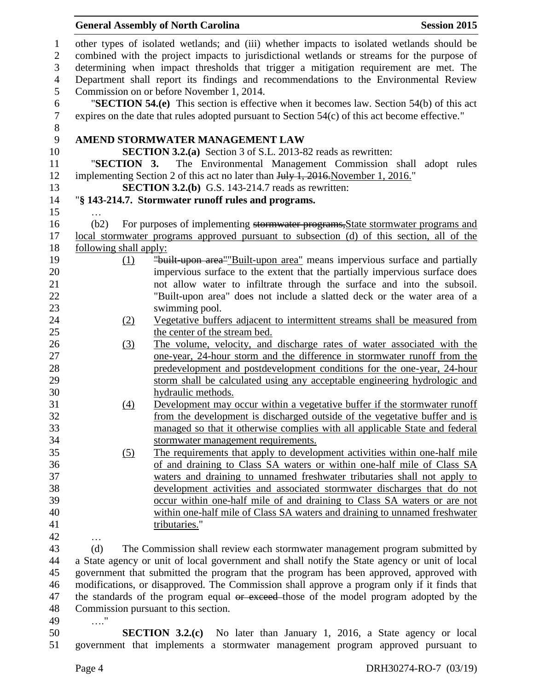|                                                                                                                                                                                                                                                                                   | <b>General Assembly of North Carolina</b><br><b>Session 2015</b>                                                                                                                                |  |
|-----------------------------------------------------------------------------------------------------------------------------------------------------------------------------------------------------------------------------------------------------------------------------------|-------------------------------------------------------------------------------------------------------------------------------------------------------------------------------------------------|--|
| other types of isolated wetlands; and (iii) whether impacts to isolated wetlands should be<br>combined with the project impacts to jurisdictional wetlands or streams for the purpose of<br>determining when impact thresholds that trigger a mitigation requirement are met. The |                                                                                                                                                                                                 |  |
|                                                                                                                                                                                                                                                                                   | Department shall report its findings and recommendations to the Environmental Review<br>Commission on or before November 1, 2014.                                                               |  |
|                                                                                                                                                                                                                                                                                   | "SECTION 54.(e) This section is effective when it becomes law. Section $54(b)$ of this act<br>expires on the date that rules adopted pursuant to Section $54(c)$ of this act become effective." |  |
|                                                                                                                                                                                                                                                                                   | AMEND STORMWATER MANAGEMENT LAW                                                                                                                                                                 |  |
|                                                                                                                                                                                                                                                                                   | <b>SECTION 3.2.(a)</b> Section 3 of S.L. 2013-82 reads as rewritten:                                                                                                                            |  |
| "SECTION 3.                                                                                                                                                                                                                                                                       | The Environmental Management Commission shall adopt rules<br>implementing Section 2 of this act no later than July 1, 2016. November 1, 2016."                                                  |  |
|                                                                                                                                                                                                                                                                                   | <b>SECTION 3.2.(b)</b> G.S. 143-214.7 reads as rewritten:                                                                                                                                       |  |
|                                                                                                                                                                                                                                                                                   | "§ 143-214.7. Stormwater runoff rules and programs.                                                                                                                                             |  |
|                                                                                                                                                                                                                                                                                   |                                                                                                                                                                                                 |  |
| (b2)                                                                                                                                                                                                                                                                              | For purposes of implementing stormwater programs, State stormwater programs and                                                                                                                 |  |
|                                                                                                                                                                                                                                                                                   | local stormwater programs approved pursuant to subsection (d) of this section, all of the                                                                                                       |  |
| following shall apply:                                                                                                                                                                                                                                                            |                                                                                                                                                                                                 |  |
| (1)                                                                                                                                                                                                                                                                               | "built-upon area" Built-upon area" means impervious surface and partially                                                                                                                       |  |
|                                                                                                                                                                                                                                                                                   | impervious surface to the extent that the partially impervious surface does                                                                                                                     |  |
|                                                                                                                                                                                                                                                                                   | not allow water to infiltrate through the surface and into the subsoil.                                                                                                                         |  |
|                                                                                                                                                                                                                                                                                   | "Built-upon area" does not include a slatted deck or the water area of a                                                                                                                        |  |
|                                                                                                                                                                                                                                                                                   | swimming pool.                                                                                                                                                                                  |  |
| (2)                                                                                                                                                                                                                                                                               | Vegetative buffers adjacent to intermittent streams shall be measured from                                                                                                                      |  |
|                                                                                                                                                                                                                                                                                   | the center of the stream bed.                                                                                                                                                                   |  |
| (3)                                                                                                                                                                                                                                                                               | The volume, velocity, and discharge rates of water associated with the                                                                                                                          |  |
|                                                                                                                                                                                                                                                                                   | one-year, 24-hour storm and the difference in stormwater runoff from the                                                                                                                        |  |
|                                                                                                                                                                                                                                                                                   | predevelopment and postdevelopment conditions for the one-year, 24-hour                                                                                                                         |  |
|                                                                                                                                                                                                                                                                                   | storm shall be calculated using any acceptable engineering hydrologic and                                                                                                                       |  |
|                                                                                                                                                                                                                                                                                   | hydraulic methods.                                                                                                                                                                              |  |
| (4)                                                                                                                                                                                                                                                                               | Development may occur within a vegetative buffer if the stormwater runoff                                                                                                                       |  |
|                                                                                                                                                                                                                                                                                   | from the development is discharged outside of the vegetative buffer and is                                                                                                                      |  |
|                                                                                                                                                                                                                                                                                   | managed so that it otherwise complies with all applicable State and federal                                                                                                                     |  |
|                                                                                                                                                                                                                                                                                   | stormwater management requirements.                                                                                                                                                             |  |
| (5)                                                                                                                                                                                                                                                                               | The requirements that apply to development activities within one-half mile                                                                                                                      |  |
|                                                                                                                                                                                                                                                                                   | of and draining to Class SA waters or within one-half mile of Class SA                                                                                                                          |  |
|                                                                                                                                                                                                                                                                                   | waters and draining to unnamed freshwater tributaries shall not apply to                                                                                                                        |  |
|                                                                                                                                                                                                                                                                                   | development activities and associated stormwater discharges that do not                                                                                                                         |  |
|                                                                                                                                                                                                                                                                                   | occur within one-half mile of and draining to Class SA waters or are not                                                                                                                        |  |
|                                                                                                                                                                                                                                                                                   | within one-half mile of Class SA waters and draining to unnamed freshwater<br>tributaries."                                                                                                     |  |
|                                                                                                                                                                                                                                                                                   |                                                                                                                                                                                                 |  |
| (d)                                                                                                                                                                                                                                                                               |                                                                                                                                                                                                 |  |
|                                                                                                                                                                                                                                                                                   | The Commission shall review each stormwater management program submitted by                                                                                                                     |  |
|                                                                                                                                                                                                                                                                                   | a State agency or unit of local government and shall notify the State agency or unit of local<br>government that submitted the program that the program has been approved, approved with        |  |
|                                                                                                                                                                                                                                                                                   | modifications, or disapproved. The Commission shall approve a program only if it finds that                                                                                                     |  |
|                                                                                                                                                                                                                                                                                   | the standards of the program equal or exceed those of the model program adopted by the                                                                                                          |  |
|                                                                                                                                                                                                                                                                                   | Commission pursuant to this section.                                                                                                                                                            |  |
| $\pmb{\mathsf{H}}$<br>. $\dot{\ }$                                                                                                                                                                                                                                                |                                                                                                                                                                                                 |  |
|                                                                                                                                                                                                                                                                                   | <b>SECTION 3.2.(c)</b> No later than January 1, 2016, a State agency or local                                                                                                                   |  |
|                                                                                                                                                                                                                                                                                   | government that implements a stormwater management program approved pursuant to                                                                                                                 |  |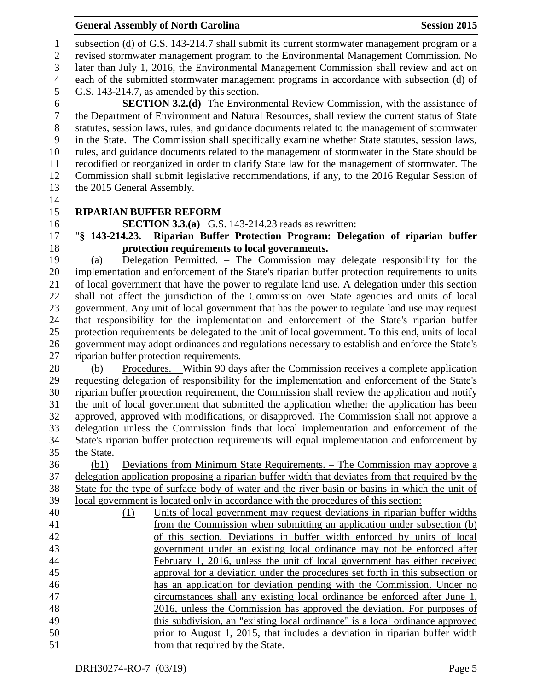subsection (d) of G.S. 143-214.7 shall submit its current stormwater management program or a revised stormwater management program to the Environmental Management Commission. No later than July 1, 2016, the Environmental Management Commission shall review and act on each of the submitted stormwater management programs in accordance with subsection (d) of G.S. 143-214.7, as amended by this section. **SECTION 3.2.(d)** The Environmental Review Commission, with the assistance of the Department of Environment and Natural Resources, shall review the current status of State the Department of Environment and Natural Resources, shall review the current status of State statutes, session laws, rules, and guidance documents related to the management of stormwater in the State. The Commission shall specifically examine whether State statutes, session laws, rules, and guidance documents related to the management of stormwater in the State should be

 recodified or reorganized in order to clarify State law for the management of stormwater. The Commission shall submit legislative recommendations, if any, to the 2016 Regular Session of the 2015 General Assembly.

## **RIPARIAN BUFFER REFORM**

**SECTION 3.3.(a)** G.S. 143-214.23 reads as rewritten:

## "**§ 143-214.23. Riparian Buffer Protection Program: Delegation of riparian buffer protection requirements to local governments.**

 (a) Delegation Permitted. – The Commission may delegate responsibility for the implementation and enforcement of the State's riparian buffer protection requirements to units of local government that have the power to regulate land use. A delegation under this section shall not affect the jurisdiction of the Commission over State agencies and units of local government. Any unit of local government that has the power to regulate land use may request that responsibility for the implementation and enforcement of the State's riparian buffer protection requirements be delegated to the unit of local government. To this end, units of local government may adopt ordinances and regulations necessary to establish and enforce the State's riparian buffer protection requirements.

28 (b) Procedures. – Within 90 days after the Commission receives a complete application requesting delegation of responsibility for the implementation and enforcement of the State's riparian buffer protection requirement, the Commission shall review the application and notify the unit of local government that submitted the application whether the application has been approved, approved with modifications, or disapproved. The Commission shall not approve a delegation unless the Commission finds that local implementation and enforcement of the State's riparian buffer protection requirements will equal implementation and enforcement by the State.

 (b1) Deviations from Minimum State Requirements. – The Commission may approve a delegation application proposing a riparian buffer width that deviates from that required by the State for the type of surface body of water and the river basin or basins in which the unit of local government is located only in accordance with the procedures of this section:

| 40 | (1) | Units of local government may request deviations in riparian buffer widths    |
|----|-----|-------------------------------------------------------------------------------|
| 41 |     | from the Commission when submitting an application under subsection (b)       |
| 42 |     | of this section. Deviations in buffer width enforced by units of local        |
| 43 |     | government under an existing local ordinance may not be enforced after        |
| 44 |     | February 1, 2016, unless the unit of local government has either received     |
| 45 |     | approval for a deviation under the procedures set forth in this subsection or |
| 46 |     | has an application for deviation pending with the Commission. Under no        |
| 47 |     | circumstances shall any existing local ordinance be enforced after June 1,    |
| 48 |     | 2016, unless the Commission has approved the deviation. For purposes of       |
| 49 |     | this subdivision, an "existing local ordinance" is a local ordinance approved |
| 50 |     | prior to August 1, 2015, that includes a deviation in riparian buffer width   |
| 51 |     | from that required by the State.                                              |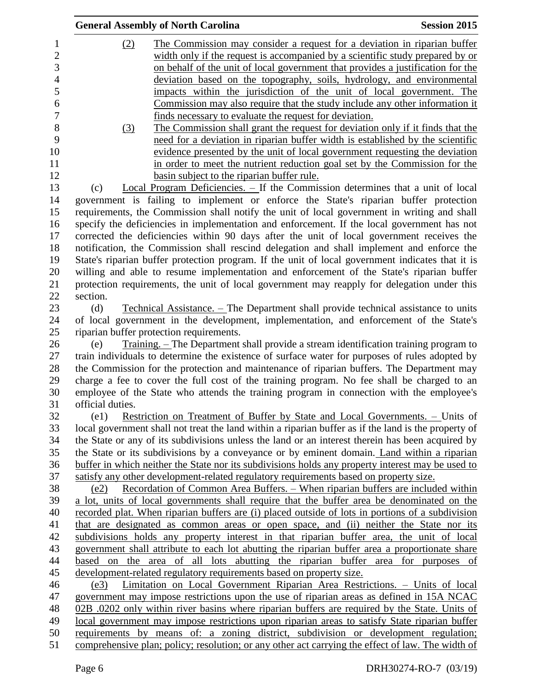|                  | <b>General Assembly of North Carolina</b>                                                            | <b>Session 2015</b> |
|------------------|------------------------------------------------------------------------------------------------------|---------------------|
| (2)              | The Commission may consider a request for a deviation in riparian buffer                             |                     |
|                  | width only if the request is accompanied by a scientific study prepared by or                        |                     |
|                  | on behalf of the unit of local government that provides a justification for the                      |                     |
|                  | deviation based on the topography, soils, hydrology, and environmental                               |                     |
|                  | impacts within the jurisdiction of the unit of local government. The                                 |                     |
|                  | Commission may also require that the study include any other information it                          |                     |
|                  | finds necessary to evaluate the request for deviation.                                               |                     |
| $\left(3\right)$ | The Commission shall grant the request for deviation only if it finds that the                       |                     |
|                  | need for a deviation in riparian buffer width is established by the scientific                       |                     |
|                  | evidence presented by the unit of local government requesting the deviation                          |                     |
|                  | in order to meet the nutrient reduction goal set by the Commission for the                           |                     |
|                  | basin subject to the riparian buffer rule.                                                           |                     |
| (c)              | Local Program Deficiencies. - If the Commission determines that a unit of local                      |                     |
|                  | government is failing to implement or enforce the State's riparian buffer protection                 |                     |
|                  |                                                                                                      |                     |
|                  | requirements, the Commission shall notify the unit of local government in writing and shall          |                     |
|                  | specify the deficiencies in implementation and enforcement. If the local government has not          |                     |
|                  | corrected the deficiencies within 90 days after the unit of local government receives the            |                     |
|                  | notification, the Commission shall rescind delegation and shall implement and enforce the            |                     |
|                  | State's riparian buffer protection program. If the unit of local government indicates that it is     |                     |
|                  | willing and able to resume implementation and enforcement of the State's riparian buffer             |                     |
|                  | protection requirements, the unit of local government may reapply for delegation under this          |                     |
| section.         |                                                                                                      |                     |
| (d)              | <u>Technical Assistance. – The Department shall provide technical assistance to units</u>            |                     |
|                  | of local government in the development, implementation, and enforcement of the State's               |                     |
|                  | riparian buffer protection requirements.                                                             |                     |
| (e)              | <u>Training. – The Department shall provide a stream identification training program to</u>          |                     |
|                  | train individuals to determine the existence of surface water for purposes of rules adopted by       |                     |
|                  | the Commission for the protection and maintenance of riparian buffers. The Department may            |                     |
|                  | charge a fee to cover the full cost of the training program. No fee shall be charged to an           |                     |
|                  | employee of the State who attends the training program in connection with the employee's             |                     |
| official duties. |                                                                                                      |                     |
| (e1)             | <u>Restriction on Treatment of Buffer by State and Local Governments. – Units of</u>                 |                     |
|                  | local government shall not treat the land within a riparian buffer as if the land is the property of |                     |
|                  | the State or any of its subdivisions unless the land or an interest therein has been acquired by     |                     |
|                  | the State or its subdivisions by a conveyance or by eminent domain. Land within a riparian           |                     |
|                  | buffer in which neither the State nor its subdivisions holds any property interest may be used to    |                     |
|                  | satisfy any other development-related regulatory requirements based on property size.                |                     |
| (e2)             | Recordation of Common Area Buffers. - When riparian buffers are included within                      |                     |
|                  | a lot, units of local governments shall require that the buffer area be denominated on the           |                     |
|                  | recorded plat. When riparian buffers are (i) placed outside of lots in portions of a subdivision     |                     |
|                  | that are designated as common areas or open space, and (ii) neither the State nor its                |                     |
|                  | subdivisions holds any property interest in that riparian buffer area, the unit of local             |                     |
|                  | government shall attribute to each lot abutting the riparian buffer area a proportionate share       |                     |
|                  | based on the area of all lots abutting the riparian buffer area for purposes of                      |                     |
|                  | development-related regulatory requirements based on property size.                                  |                     |
| (e3)             | Limitation on Local Government Riparian Area Restrictions. - Units of local                          |                     |
|                  | government may impose restrictions upon the use of riparian areas as defined in 15A NCAC             |                     |
|                  | 02B .0202 only within river basins where riparian buffers are required by the State. Units of        |                     |
|                  | local government may impose restrictions upon riparian areas to satisfy State riparian buffer        |                     |
|                  | requirements by means of: a zoning district, subdivision or development regulation;                  |                     |
|                  | comprehensive plan; policy; resolution; or any other act carrying the effect of law. The width of    |                     |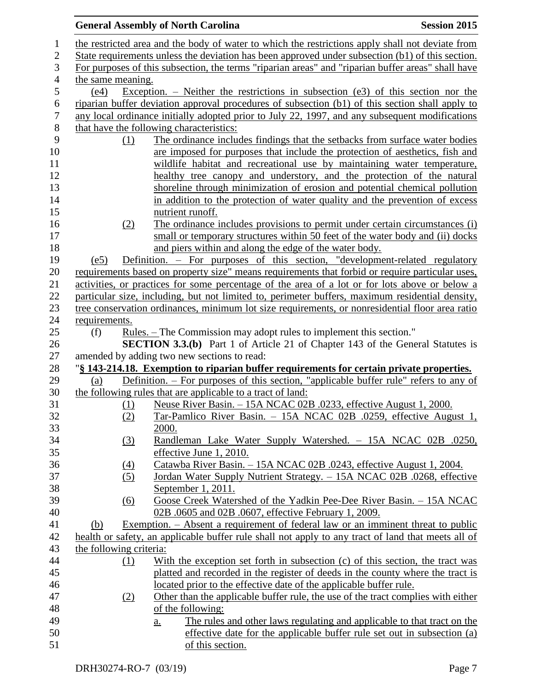|                |                         | <b>General Assembly of North Carolina</b><br><b>Session 2015</b>                                   |
|----------------|-------------------------|----------------------------------------------------------------------------------------------------|
| $\mathbf{1}$   |                         | the restricted area and the body of water to which the restrictions apply shall not deviate from   |
| $\sqrt{2}$     |                         | State requirements unless the deviation has been approved under subsection (b1) of this section.   |
| $\mathfrak{Z}$ |                         | For purposes of this subsection, the terms "riparian areas" and "riparian buffer areas" shall have |
| $\overline{4}$ | the same meaning.       |                                                                                                    |
| $\mathfrak s$  | (e4)                    | Exception. – Neither the restrictions in subsection (e3) of this section nor the                   |
| 6              |                         | riparian buffer deviation approval procedures of subsection (b1) of this section shall apply to    |
| $\tau$         |                         | any local ordinance initially adopted prior to July 22, 1997, and any subsequent modifications     |
| $8\,$          |                         | that have the following characteristics:                                                           |
| 9              | (1)                     | The ordinance includes findings that the setbacks from surface water bodies                        |
| 10             |                         | are imposed for purposes that include the protection of aesthetics, fish and                       |
| 11             |                         | wildlife habitat and recreational use by maintaining water temperature,                            |
| 12             |                         | healthy tree canopy and understory, and the protection of the natural                              |
| 13             |                         | shoreline through minimization of erosion and potential chemical pollution                         |
| 14             |                         | in addition to the protection of water quality and the prevention of excess                        |
| 15             |                         | nutrient runoff.                                                                                   |
| 16             | (2)                     | The ordinance includes provisions to permit under certain circumstances (i)                        |
| 17             |                         | small or temporary structures within 50 feet of the water body and (ii) docks                      |
| 18             |                         | and piers within and along the edge of the water body.                                             |
| 19             | (e5)                    | Definition. - For purposes of this section, "development-related regulatory                        |
| 20             |                         | requirements based on property size" means requirements that forbid or require particular uses,    |
| 21             |                         | activities, or practices for some percentage of the area of a lot or for lots above or below a     |
| 22             |                         | particular size, including, but not limited to, perimeter buffers, maximum residential density,    |
| 23             |                         | tree conservation ordinances, minimum lot size requirements, or nonresidential floor area ratio    |
| 24             | requirements.           |                                                                                                    |
| 25             | (f)                     | Rules. – The Commission may adopt rules to implement this section."                                |
| 26             |                         | <b>SECTION 3.3.(b)</b> Part 1 of Article 21 of Chapter 143 of the General Statutes is              |
| 27             |                         | amended by adding two new sections to read:                                                        |
| 28             |                         | "§ 143-214.18. Exemption to riparian buffer requirements for certain private properties.           |
| 29             | (a)                     | Definition. - For purposes of this section, "applicable buffer rule" refers to any of              |
| 30             |                         | the following rules that are applicable to a tract of land:                                        |
| 31             | (1)                     | Neuse River Basin. - 15A NCAC 02B .0233, effective August 1, 2000.                                 |
| 32             | (2)                     | Tar-Pamlico River Basin. - 15A NCAC 02B .0259, effective August 1,                                 |
| 33             |                         | 2000.                                                                                              |
| 34             | $\left(3\right)$        | Randleman Lake Water Supply Watershed. - 15A NCAC 02B .0250,                                       |
| 35             |                         | effective June 1, 2010.                                                                            |
| 36             | (4)                     | Catawba River Basin. - 15A NCAC 02B .0243, effective August 1, 2004.                               |
| 37             | (5)                     | Jordan Water Supply Nutrient Strategy. - 15A NCAC 02B .0268, effective                             |
| 38             |                         | September 1, 2011.                                                                                 |
| 39             | $\underline{(6)}$       | Goose Creek Watershed of the Yadkin Pee-Dee River Basin. - 15A NCAC                                |
| 40             |                         | 02B .0605 and 02B .0607, effective February 1, 2009.                                               |
| 41             | (b)                     | Exemption. – Absent a requirement of federal law or an imminent threat to public                   |
| 42             |                         | health or safety, an applicable buffer rule shall not apply to any tract of land that meets all of |
| 43             | the following criteria: |                                                                                                    |
| 44             | (1)                     | With the exception set forth in subsection (c) of this section, the tract was                      |
| 45             |                         | platted and recorded in the register of deeds in the county where the tract is                     |
| 46             |                         | located prior to the effective date of the applicable buffer rule.                                 |
| 47             | (2)                     | Other than the applicable buffer rule, the use of the tract complies with either                   |
| 48             |                         | of the following:                                                                                  |
| 49             |                         | The rules and other laws regulating and applicable to that tract on the<br>$\underline{a}$ .       |
| 50             |                         | effective date for the applicable buffer rule set out in subsection (a)                            |
| 51             |                         | of this section.                                                                                   |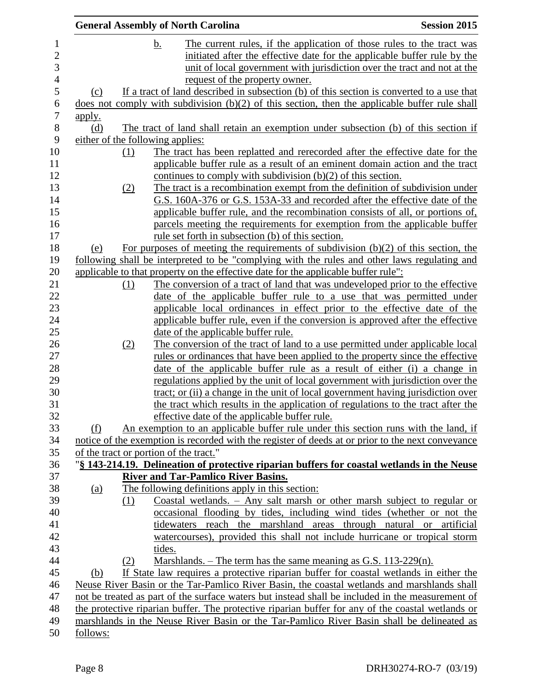|                                  | <b>General Assembly of North Carolina</b>                                                                                                                  | <b>Session 2015</b> |
|----------------------------------|------------------------------------------------------------------------------------------------------------------------------------------------------------|---------------------|
|                                  | The current rules, if the application of those rules to the tract was<br><u>b.</u>                                                                         |                     |
|                                  | initiated after the effective date for the applicable buffer rule by the                                                                                   |                     |
|                                  | unit of local government with jurisdiction over the tract and not at the                                                                                   |                     |
|                                  | request of the property owner.                                                                                                                             |                     |
| (c)                              | If a tract of land described in subsection (b) of this section is converted to a use that                                                                  |                     |
|                                  | does not comply with subdivision $(b)(2)$ of this section, then the applicable buffer rule shall                                                           |                     |
| <u>apply.</u>                    |                                                                                                                                                            |                     |
| (d)                              | The tract of land shall retain an exemption under subsection (b) of this section if                                                                        |                     |
| either of the following applies: |                                                                                                                                                            |                     |
| (1)                              | The tract has been replatted and rerecorded after the effective date for the                                                                               |                     |
|                                  | applicable buffer rule as a result of an eminent domain action and the tract                                                                               |                     |
|                                  | continues to comply with subdivision $(b)(2)$ of this section.                                                                                             |                     |
| (2)                              | The tract is a recombination exempt from the definition of subdivision under                                                                               |                     |
|                                  | G.S. 160A-376 or G.S. 153A-33 and recorded after the effective date of the                                                                                 |                     |
|                                  | applicable buffer rule, and the recombination consists of all, or portions of,                                                                             |                     |
|                                  | parcels meeting the requirements for exemption from the applicable buffer                                                                                  |                     |
|                                  | rule set forth in subsection (b) of this section.                                                                                                          |                     |
| (e)                              | For purposes of meeting the requirements of subdivision $(b)(2)$ of this section, the                                                                      |                     |
|                                  | following shall be interpreted to be "complying with the rules and other laws regulating and                                                               |                     |
|                                  | applicable to that property on the effective date for the applicable buffer rule":                                                                         |                     |
| (1)                              | The conversion of a tract of land that was undeveloped prior to the effective                                                                              |                     |
|                                  | date of the applicable buffer rule to a use that was permitted under                                                                                       |                     |
|                                  | applicable local ordinances in effect prior to the effective date of the                                                                                   |                     |
|                                  | applicable buffer rule, even if the conversion is approved after the effective                                                                             |                     |
|                                  | date of the applicable buffer rule.                                                                                                                        |                     |
| (2)                              | The conversion of the tract of land to a use permitted under applicable local                                                                              |                     |
|                                  | <u>rules or ordinances that have been applied to the property since the effective</u>                                                                      |                     |
|                                  | date of the applicable buffer rule as a result of either (i) a change in<br>regulations applied by the unit of local government with jurisdiction over the |                     |
|                                  | tract; or (ii) a change in the unit of local government having jurisdiction over                                                                           |                     |
|                                  | the tract which results in the application of regulations to the tract after the                                                                           |                     |
|                                  | effective date of the applicable buffer rule.                                                                                                              |                     |
| (f)                              | An exemption to an applicable buffer rule under this section runs with the land, if                                                                        |                     |
|                                  | notice of the exemption is recorded with the register of deeds at or prior to the next conveyance                                                          |                     |
|                                  | of the tract or portion of the tract."                                                                                                                     |                     |
|                                  | "§ 143-214.19. Delineation of protective riparian buffers for coastal wetlands in the Neuse                                                                |                     |
|                                  | <b>River and Tar-Pamlico River Basins.</b>                                                                                                                 |                     |
| <u>(a)</u>                       | The following definitions apply in this section:                                                                                                           |                     |
| (1)                              | Coastal wetlands. - Any salt marsh or other marsh subject to regular or                                                                                    |                     |
|                                  | occasional flooding by tides, including wind tides (whether or not the                                                                                     |                     |
|                                  | tidewaters reach the marshland areas through natural or artificial                                                                                         |                     |
|                                  | watercourses), provided this shall not include hurricane or tropical storm                                                                                 |                     |
|                                  | tides.                                                                                                                                                     |                     |
| (2)                              | Marshlands. $-$ The term has the same meaning as G.S. 113-229(n).                                                                                          |                     |
| (b)                              | If State law requires a protective riparian buffer for coastal wetlands in either the                                                                      |                     |
|                                  | Neuse River Basin or the Tar-Pamlico River Basin, the coastal wetlands and marshlands shall                                                                |                     |
|                                  | not be treated as part of the surface waters but instead shall be included in the measurement of                                                           |                     |
|                                  | the protective riparian buffer. The protective riparian buffer for any of the coastal wetlands or                                                          |                     |
|                                  | marshlands in the Neuse River Basin or the Tar-Pamlico River Basin shall be delineated as                                                                  |                     |
| follows:                         |                                                                                                                                                            |                     |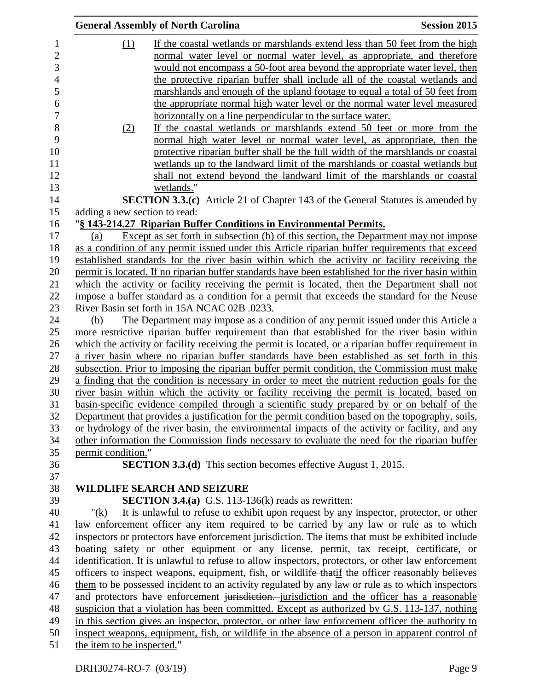|                               | <b>General Assembly of North Carolina</b>                                                                                                                                                  | <b>Session 2015</b> |
|-------------------------------|--------------------------------------------------------------------------------------------------------------------------------------------------------------------------------------------|---------------------|
| (1)                           | If the coastal wetlands or marshlands extend less than 50 feet from the high                                                                                                               |                     |
|                               | normal water level or normal water level, as appropriate, and therefore                                                                                                                    |                     |
|                               | would not encompass a 50-foot area beyond the appropriate water level, then                                                                                                                |                     |
|                               | the protective riparian buffer shall include all of the coastal wetlands and                                                                                                               |                     |
|                               | marshlands and enough of the upland footage to equal a total of 50 feet from                                                                                                               |                     |
|                               | the appropriate normal high water level or the normal water level measured                                                                                                                 |                     |
|                               | horizontally on a line perpendicular to the surface water.                                                                                                                                 |                     |
| (2)                           | If the coastal wetlands or marshlands extend 50 feet or more from the                                                                                                                      |                     |
|                               | normal high water level or normal water level, as appropriate, then the                                                                                                                    |                     |
|                               | protective riparian buffer shall be the full width of the marshlands or coastal                                                                                                            |                     |
|                               | wetlands up to the landward limit of the marshlands or coastal wetlands but                                                                                                                |                     |
|                               | shall not extend beyond the landward limit of the marshlands or coastal                                                                                                                    |                     |
|                               | wetlands."                                                                                                                                                                                 |                     |
|                               | SECTION 3.3.(c) Article 21 of Chapter 143 of the General Statutes is amended by                                                                                                            |                     |
| adding a new section to read: |                                                                                                                                                                                            |                     |
|                               | "§ 143-214.27 Riparian Buffer Conditions in Environmental Permits.                                                                                                                         |                     |
| (a)                           | Except as set forth in subsection (b) of this section, the Department may not impose                                                                                                       |                     |
|                               | as a condition of any permit issued under this Article riparian buffer requirements that exceed                                                                                            |                     |
|                               | established standards for the river basin within which the activity or facility receiving the                                                                                              |                     |
|                               | permit is located. If no riparian buffer standards have been established for the river basin within                                                                                        |                     |
|                               | which the activity or facility receiving the permit is located, then the Department shall not                                                                                              |                     |
|                               | impose a buffer standard as a condition for a permit that exceeds the standard for the Neuse                                                                                               |                     |
|                               | River Basin set forth in 15A NCAC 02B .0233.                                                                                                                                               |                     |
| (b)                           | The Department may impose as a condition of any permit issued under this Article a                                                                                                         |                     |
|                               | more restrictive riparian buffer requirement than that established for the river basin within                                                                                              |                     |
|                               | which the activity or facility receiving the permit is located, or a riparian buffer requirement in                                                                                        |                     |
|                               | a river basin where no riparian buffer standards have been established as set forth in this                                                                                                |                     |
|                               | subsection. Prior to imposing the riparian buffer permit condition, the Commission must make                                                                                               |                     |
|                               | a finding that the condition is necessary in order to meet the nutrient reduction goals for the                                                                                            |                     |
|                               | river basin within which the activity or facility receiving the permit is located, based on                                                                                                |                     |
|                               | basin-specific evidence compiled through a scientific study prepared by or on behalf of the                                                                                                |                     |
|                               | Department that provides a justification for the permit condition based on the topography, soils,                                                                                          |                     |
|                               | or hydrology of the river basin, the environmental impacts of the activity or facility, and any                                                                                            |                     |
|                               | other information the Commission finds necessary to evaluate the need for the riparian buffer                                                                                              |                     |
| permit condition."            |                                                                                                                                                                                            |                     |
|                               | <b>SECTION 3.3.(d)</b> This section becomes effective August 1, 2015.                                                                                                                      |                     |
|                               |                                                                                                                                                                                            |                     |
|                               | <b>WILDLIFE SEARCH AND SEIZURE</b>                                                                                                                                                         |                     |
| " $(k)$                       | <b>SECTION 3.4.(a)</b> G.S. 113-136(k) reads as rewritten:                                                                                                                                 |                     |
|                               | It is unlawful to refuse to exhibit upon request by any inspector, protector, or other                                                                                                     |                     |
|                               | law enforcement officer any item required to be carried by any law or rule as to which<br>inspectors or protectors have enforcement jurisdiction. The items that must be exhibited include |                     |
|                               | boating safety or other equipment or any license, permit, tax receipt, certificate, or                                                                                                     |                     |
|                               | identification. It is unlawful to refuse to allow inspectors, protectors, or other law enforcement                                                                                         |                     |
|                               | officers to inspect weapons, equipment, fish, or wildlife that if the officer reasonably believes                                                                                          |                     |
|                               | them to be possessed incident to an activity regulated by any law or rule as to which inspectors                                                                                           |                     |
|                               | and protectors have enforcement jurisdiction. jurisdiction and the officer has a reasonable                                                                                                |                     |
|                               | suspicion that a violation has been committed. Except as authorized by G.S. 113-137, nothing                                                                                               |                     |
|                               | in this section gives an inspector, protector, or other law enforcement officer the authority to                                                                                           |                     |
|                               | inspect weapons, equipment, fish, or wildlife in the absence of a person in apparent control of                                                                                            |                     |
| the item to be inspected."    |                                                                                                                                                                                            |                     |